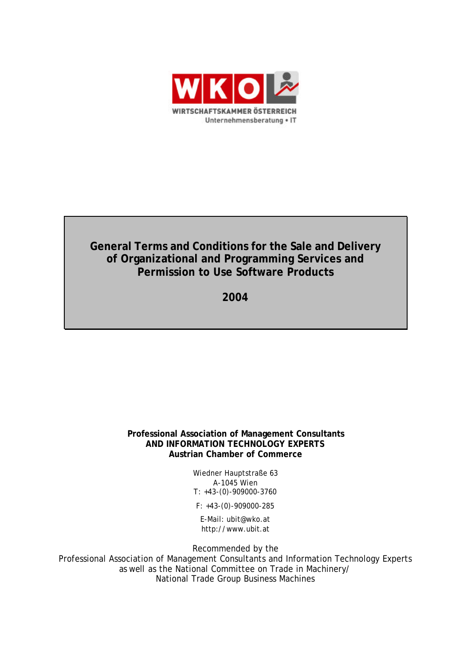

# **General Terms and Conditions for the Sale and Delivery of Organizational and Programming Services and Permission to Use Software Products**

**2004**

### **Professional Association of Management Consultants AND INFORMATION TECHNOLOGY EXPERTS Austrian Chamber of Commerce**

Wiedner Hauptstraße 63 A-1045 Wien T: +43-(0)-909000-3760

F: +43-(0)-909000-285

E-Mail: ubit@wko.at http://www.ubit.at

Recommended by the

Professional Association of Management Consultants and Information Technology Experts as well as the National Committee on Trade in Machinery/ National Trade Group Business Machines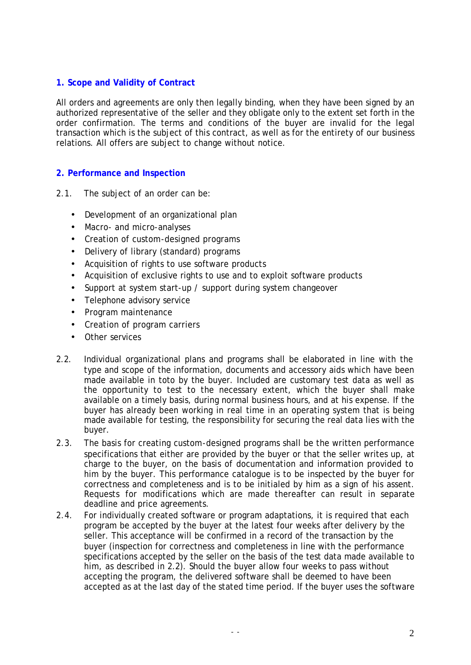### **1. Scope and Validity of Contract**

All orders and agreements are only then legally binding, when they have been signed by an authorized representative of the seller and they obligate only to the extent set forth in the order confirmation. The terms and conditions of the buyer are invalid for the legal transaction which is the subject of this contract, as well as for the entirety of our business relations. All offers are subject to change without notice.

### **2. Performance and Inspection**

- 2.1. The subject of an order can be:
	- Development of an organizational plan
	- Macro- and micro-analyses
	- Creation of custom-designed programs
	- Delivery of library (standard) programs
	- Acquisition of rights to use software products
	- Acquisition of exclusive rights to use and to exploit software products
	- Support at system start-up / support during system changeover
	- Telephone advisory service
	- Program maintenance
	- Creation of program carriers
	- Other services
- 2.2. Individual organizational plans and programs shall be elaborated in line with the type and scope of the information, documents and accessory aids which have been made available in toto by the buyer. Included are customary test data as well as the opportunity to test to the necessary extent, which the buyer shall make available on a timely basis, during normal business hours, and at his expense. If the buyer has already been working in real time in an operating system that is being made available for testing, the responsibility for securing the real data lies with the buyer.
- 2.3. The basis for creating custom-designed programs shall be the written performance specifications that either are provided by the buyer or that the seller writes up, at charge to the buyer, on the basis of documentation and information provided to him by the buyer. This performance catalogue is to be inspected by the buyer for correctness and completeness and is to be initialed by him as a sign of his assent. Requests for modifications which are made thereafter can result in separate deadline and price agreements.
- 2.4. For individually created software or program adaptations, it is required that each program be accepted by the buyer at the latest four weeks after delivery by the seller. This acceptance will be confirmed in a record of the transaction by the buyer (inspection for correctness and completeness in line with the performance specifications accepted by the seller on the basis of the test data made available to him, as described in 2.2). Should the buyer allow four weeks to pass without accepting the program, the delivered software shall be deemed to have been accepted as at the last day of the stated time period. If the buyer uses the software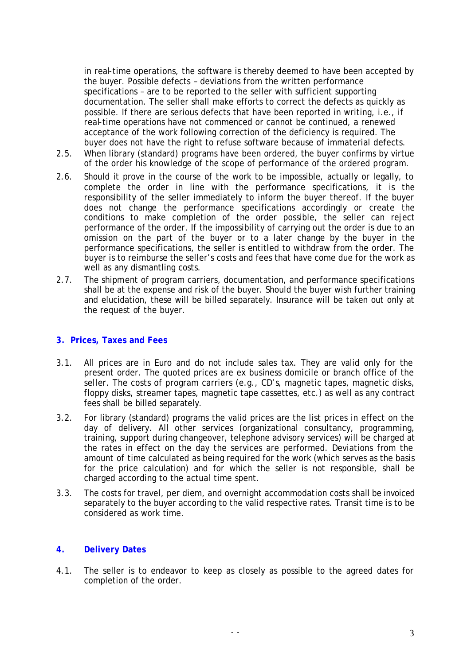in real-time operations, the software is thereby deemed to have been accepted by the buyer. Possible defects – deviations from the written performance specifications – are to be reported to the seller with sufficient supporting documentation. The seller shall make efforts to correct the defects as quickly as possible. If there are serious defects that have been reported in writing, i.e., if real-time operations have not commenced or cannot be continued, a renewed acceptance of the work following correction of the deficiency is required. The buyer does not have the right to refuse software because of immaterial defects.

- 2.5. When library (standard) programs have been ordered, the buyer confirms by virtue of the order his knowledge of the scope of performance of the ordered program.
- 2.6. Should it prove in the course of the work to be impossible, actually or legally, to complete the order in line with the performance specifications, it is the responsibility of the seller immediately to inform the buyer thereof. If the buyer does not change the performance specifications accordingly or create the conditions to make completion of the order possible, the seller can reject performance of the order. If the impossibility of carrying out the order is due to an omission on the part of the buyer or to a later change by the buyer in the performance specifications, the seller is entitled to withdraw from the order. The buyer is to reimburse the seller's costs and fees that have come due for the work as well as any dismantling costs.
- 2.7. The shipment of program carriers, documentation, and performance specifications shall be at the expense and risk of the buyer. Should the buyer wish further training and elucidation, these will be billed separately. Insurance will be taken out only at the request of the buyer.

### **3. Prices, Taxes and Fees**

- 3.1. All prices are in Euro and do not include sales tax. They are valid only for the present order. The quoted prices are ex business domicile or branch office of the seller. The costs of program carriers (e.g., CD's, magnetic tapes, magnetic disks, floppy disks, streamer tapes, magnetic tape cassettes, etc.) as well as any contract fees shall be billed separately.
- 3.2. For library (standard) programs the valid prices are the list prices in effect on the day of delivery. All other services (organizational consultancy, programming, training, support during changeover, telephone advisory services) will be charged at the rates in effect on the day the services are performed. Deviations from the amount of time calculated as being required for the work (which serves as the basis for the price calculation) and for which the seller is not responsible, shall be charged according to the actual time spent.
- 3.3. The costs for travel, per diem, and overnight accommodation costs shall be invoiced separately to the buyer according to the valid respective rates. Transit time is to be considered as work time.

## **4. Delivery Dates**

4.1. The seller is to endeavor to keep as closely as possible to the agreed dates for completion of the order.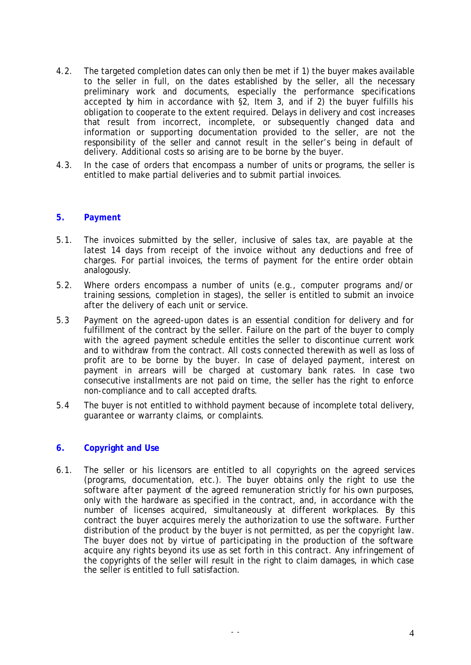- 4.2. The targeted completion dates can only then be met if 1) the buyer makes available to the seller in full, on the dates established by the seller, all the necessary preliminary work and documents, especially the performance specifications accepted by him in accordance with §2, Item 3, and if 2) the buyer fulfills his obligation to cooperate to the extent required. Delays in delivery and cost increases that result from incorrect, incomplete, or subsequently changed data and information or supporting documentation provided to the seller, are not the responsibility of the seller and cannot result in the seller's being in default of delivery. Additional costs so arising are to be borne by the buyer.
- 4.3. In the case of orders that encompass a number of units or programs, the seller is entitled to make partial deliveries and to submit partial invoices.

### **5. Payment**

- 5.1. The invoices submitted by the seller, inclusive of sales tax, are payable at the latest 14 days from receipt of the invoice without any deductions and free of charges. For partial invoices, the terms of payment for the entire order obtain analogously.
- 5.2. Where orders encompass a number of units (e.g., computer programs and/or training sessions, completion in stages), the seller is entitled to submit an invoice after the delivery of each unit or service.
- 5.3 Payment on the agreed-upon dates is an essential condition for delivery and for fulfillment of the contract by the seller. Failure on the part of the buyer to comply with the agreed payment schedule entitles the seller to discontinue current work and to withdraw from the contract. All costs connected therewith as well as loss of profit are to be borne by the buyer. In case of delayed payment, interest on payment in arrears will be charged at customary bank rates. In case two consecutive installments are not paid on time, the seller has the right to enforce non-compliance and to call accepted drafts.
- 5.4 The buyer is not entitled to withhold payment because of incomplete total delivery, guarantee or warranty claims, or complaints.

### **6. Copyright and Use**

6.1. The seller or his licensors are entitled to all copyrights on the agreed services (programs, documentation, etc.). The buyer obtains only the right to use the software after payment of the agreed remuneration strictly for his own purposes, only with the hardware as specified in the contract, and, in accordance with the number of licenses acquired, simultaneously at different workplaces. By this contract the buyer acquires merely the authorization to use the software. Further distribution of the product by the buyer is not permitted, as per the copyright law. The buyer does not by virtue of participating in the production of the software acquire any rights beyond its use as set forth in this contract. Any infringement of the copyrights of the seller will result in the right to claim damages, in which case the seller is entitled to full satisfaction.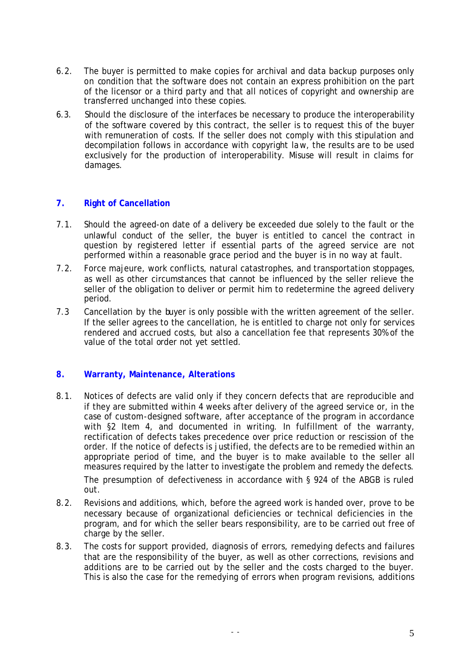- 6.2. The buyer is permitted to make copies for archival and data backup purposes only on condition that the software does not contain an express prohibition on the part of the licensor or a third party and that all notices of copyright and ownership are transferred unchanged into these copies.
- 6.3. Should the disclosure of the interfaces be necessary to produce the interoperability of the software covered by this contract, the seller is to request this of the buyer with remuneration of costs. If the seller does not comply with this stipulation and decompilation follows in accordance with copyright law, the results are to be used exclusively for the production of interoperability. Misuse will result in claims for damages.

# **7. Right of Cancellation**

- 7.1. Should the agreed-on date of a delivery be exceeded due solely to the fault or the unlawful conduct of the seller, the buyer is entitled to cancel the contract in question by registered letter if essential parts of the agreed service are not performed within a reasonable grace period and the buyer is in no way at fault.
- 7.2. Force majeure, work conflicts, natural catastrophes, and transportation stoppages, as well as other circumstances that cannot be influenced by the seller relieve the seller of the obligation to deliver or permit him to redetermine the agreed delivery period.
- 7.3 Cancellation by the buyer is only possible with the written agreement of the seller. If the seller agrees to the cancellation, he is entitled to charge not only for services rendered and accrued costs, but also a cancellation fee that represents 30% of the value of the total order not yet settled.

### **8. Warranty, Maintenance, Alterations**

8.1. Notices of defects are valid only if they concern defects that are reproducible and if they are submitted within 4 weeks after delivery of the agreed service or, in the case of custom-designed software, after acceptance of the program in accordance with §2 Item 4, and documented in writing. In fulfillment of the warranty, rectification of defects takes precedence over price reduction or rescission of the order. If the notice of defects is justified, the defects are to be remedied within an appropriate period of time, and the buyer is to make available to the seller all measures required by the latter to investigate the problem and remedy the defects.

The presumption of defectiveness in accordance with § 924 of the ABGB is ruled out.

- 8.2. Revisions and additions, which, before the agreed work is handed over, prove to be necessary because of organizational deficiencies or technical deficiencies in the program, and for which the seller bears responsibility, are to be carried out free of charge by the seller.
- 8.3. The costs for support provided, diagnosis of errors, remedying defects and failures that are the responsibility of the buyer, as well as other corrections, revisions and additions are to be carried out by the seller and the costs charged to the buyer. This is also the case for the remedying of errors when program revisions, additions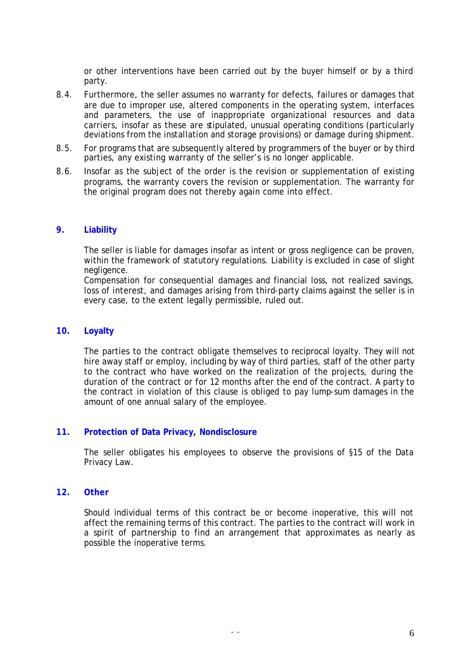or other interventions have been carried out by the buyer himself or by a third party.

- 8.4. Furthermore, the seller assumes no warranty for defects, failures or damages that are due to improper use, altered components in the operating system, interfaces and parameters, the use of inappropriate organizational resources and data carriers, insofar as these are stipulated, unusual operating conditions (particularly deviations from the installation and storage provisions) or damage during shipment.
- 8.5. For programs that are subsequently altered by programmers of the buyer or by third parties, any existing warranty of the seller's is no longer applicable.
- 8.6. Insofar as the subject of the order is the revision or supplementation of existing programs, the warranty covers the revision or supplementation. The warranty for the original program does not thereby again come into effect.

### **9. Liability**

The seller is liable for damages insofar as intent or gross negligence can be proven, within the framework of statutory regulations. Liability is excluded in case of slight negligence.

Compensation for consequential damages and financial loss, not realized savings, loss of interest, and damages arising from third-party claims against the seller is in every case, to the extent legally permissible, ruled out.

#### **10. Loyalty**

The parties to the contract obligate themselves to reciprocal loyalty. They will not hire away staff or employ, including by way of third parties, staff of the other party to the contract who have worked on the realization of the projects, during the duration of the contract or for 12 months after the end of the contract. A party to the contract in violation of this clause is obliged to pay lump-sum damages in the amount of one annual salary of the employee.

### **11. Protection of Data Privacy, Nondisclosure**

The seller obligates his employees to observe the provisions of §15 of the Data Privacy Law.

#### **12. Other**

Should individual terms of this contract be or become inoperative, this will not affect the remaining terms of this contract. The parties to the contract will work in a spirit of partnership to find an arrangement that approximates as nearly as possible the inoperative terms.